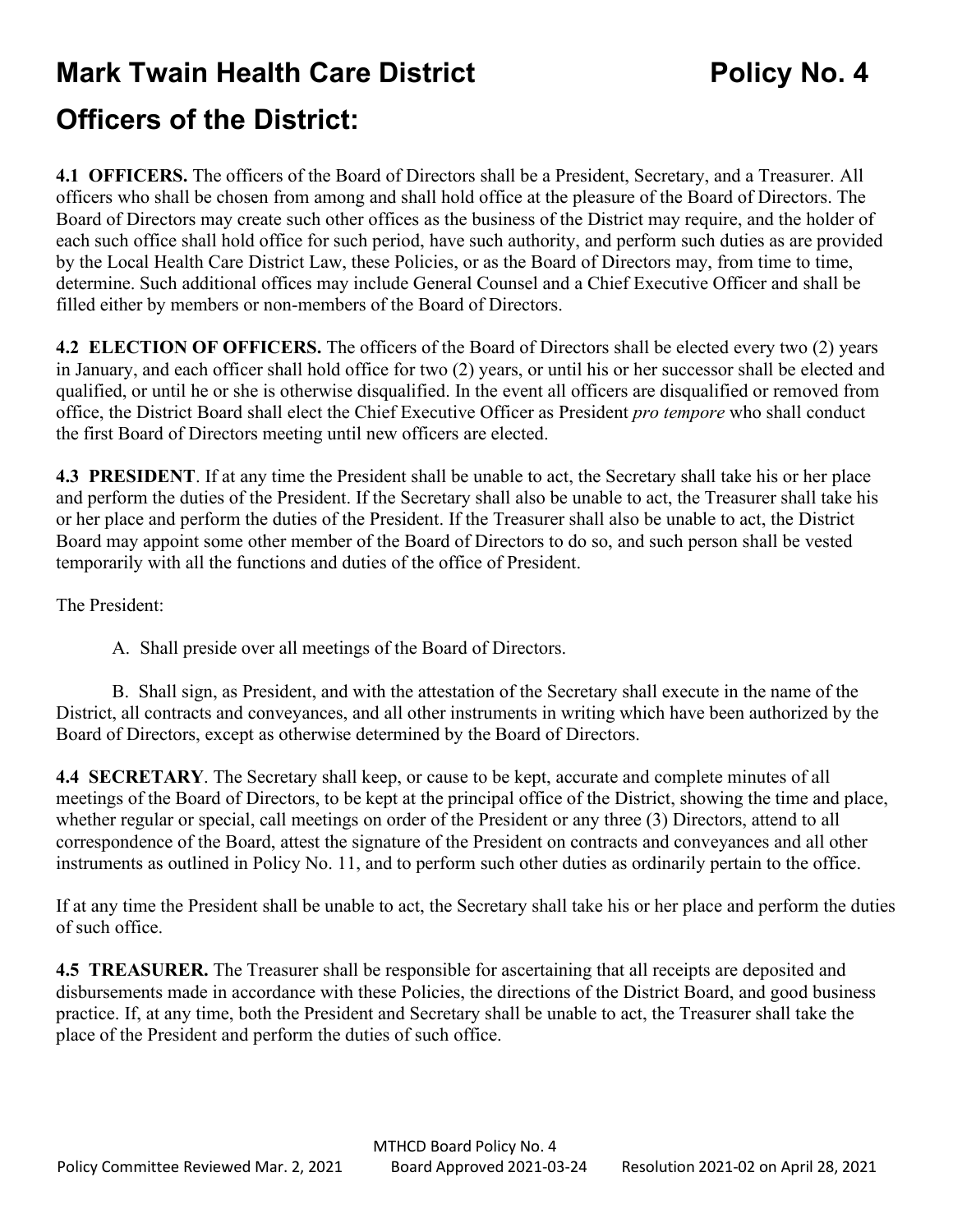## **Mark Twain Health Care District <b>Policy No. 4 Officers of the District:**

**4.1 OFFICERS.** The officers of the Board of Directors shall be a President, Secretary, and a Treasurer. All officers who shall be chosen from among and shall hold office at the pleasure of the Board of Directors. The Board of Directors may create such other offices as the business of the District may require, and the holder of each such office shall hold office for such period, have such authority, and perform such duties as are provided by the Local Health Care District Law, these Policies, or as the Board of Directors may, from time to time, determine. Such additional offices may include General Counsel and a Chief Executive Officer and shall be filled either by members or non-members of the Board of Directors.

**4.2 ELECTION OF OFFICERS.** The officers of the Board of Directors shall be elected every two (2) years in January, and each officer shall hold office for two (2) years, or until his or her successor shall be elected and qualified, or until he or she is otherwise disqualified. In the event all officers are disqualified or removed from office, the District Board shall elect the Chief Executive Officer as President *pro tempore* who shall conduct the first Board of Directors meeting until new officers are elected.

**4.3 PRESIDENT**. If at any time the President shall be unable to act, the Secretary shall take his or her place and perform the duties of the President. If the Secretary shall also be unable to act, the Treasurer shall take his or her place and perform the duties of the President. If the Treasurer shall also be unable to act, the District Board may appoint some other member of the Board of Directors to do so, and such person shall be vested temporarily with all the functions and duties of the office of President.

The President:

A. Shall preside over all meetings of the Board of Directors.

B. Shall sign, as President, and with the attestation of the Secretary shall execute in the name of the District, all contracts and conveyances, and all other instruments in writing which have been authorized by the Board of Directors, except as otherwise determined by the Board of Directors.

**4.4 SECRETARY**. The Secretary shall keep, or cause to be kept, accurate and complete minutes of all meetings of the Board of Directors, to be kept at the principal office of the District, showing the time and place, whether regular or special, call meetings on order of the President or any three (3) Directors, attend to all correspondence of the Board, attest the signature of the President on contracts and conveyances and all other instruments as outlined in Policy No. 11, and to perform such other duties as ordinarily pertain to the office.

If at any time the President shall be unable to act, the Secretary shall take his or her place and perform the duties of such office.

**4.5 TREASURER.** The Treasurer shall be responsible for ascertaining that all receipts are deposited and disbursements made in accordance with these Policies, the directions of the District Board, and good business practice. If, at any time, both the President and Secretary shall be unable to act, the Treasurer shall take the place of the President and perform the duties of such office.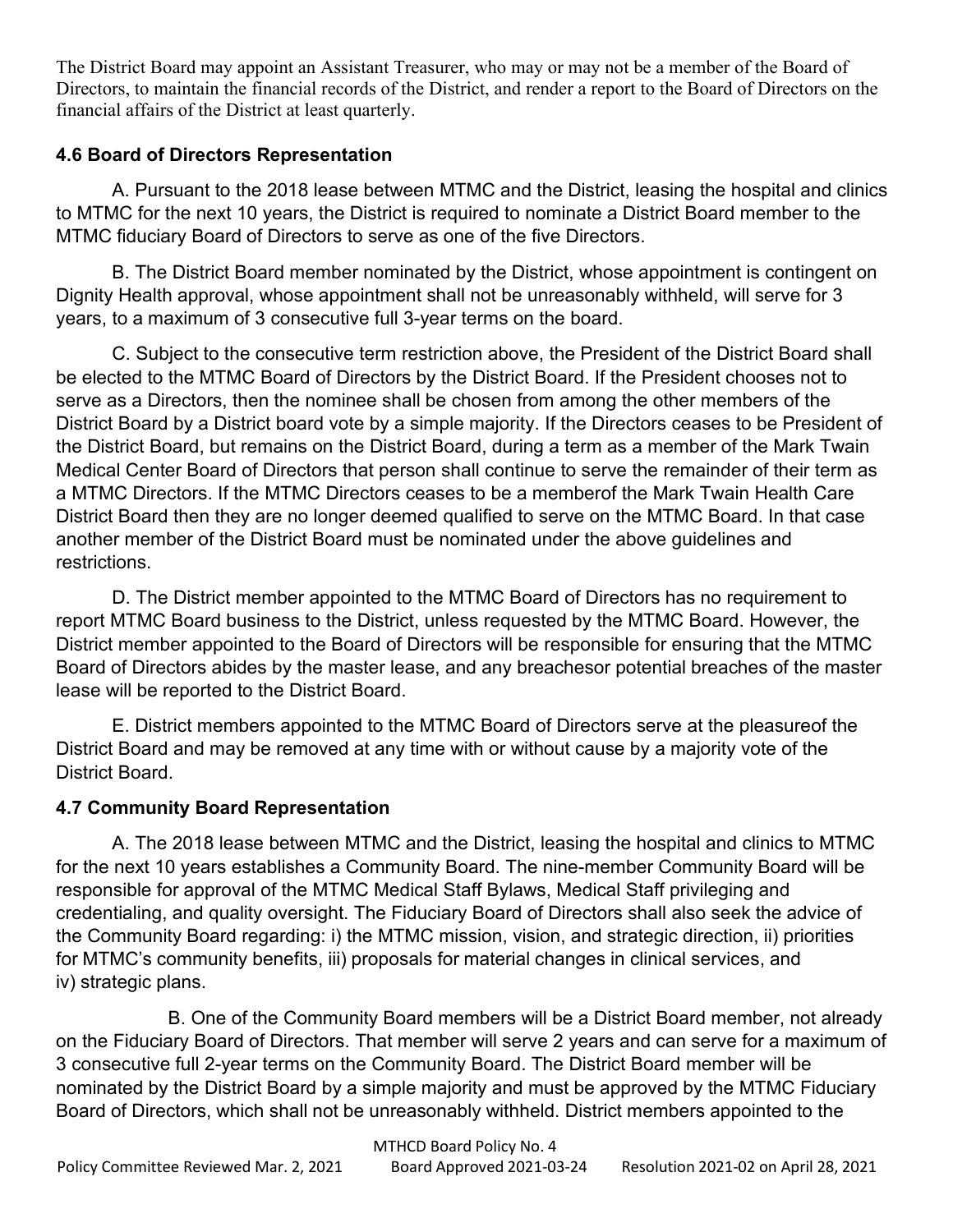The District Board may appoint an Assistant Treasurer, who may or may not be a member of the Board of Directors, to maintain the financial records of the District, and render a report to the Board of Directors on the financial affairs of the District at least quarterly.

## **4.6 Board of Directors Representation**

A. Pursuant to the 2018 lease between MTMC and the District, leasing the hospital and clinics to MTMC for the next 10 years, the District is required to nominate a District Board member to the MTMC fiduciary Board of Directors to serve as one of the five Directors.

B. The District Board member nominated by the District, whose appointment is contingent on Dignity Health approval, whose appointment shall not be unreasonably withheld, will serve for 3 years, to a maximum of 3 consecutive full 3-year terms on the board.

C. Subject to the consecutive term restriction above, the President of the District Board shall be elected to the MTMC Board of Directors by the District Board. If the President chooses not to serve as a Directors, then the nominee shall be chosen from among the other members of the District Board by a District board vote by a simple majority. If the Directors ceases to be President of the District Board, but remains on the District Board, during a term as a member of the Mark Twain Medical Center Board of Directors that person shall continue to serve the remainder of their term as a MTMC Directors. If the MTMC Directors ceases to be a memberof the Mark Twain Health Care District Board then they are no longer deemed qualified to serve on the MTMC Board. In that case another member of the District Board must be nominated under the above guidelines and restrictions.

D. The District member appointed to the MTMC Board of Directors has no requirement to report MTMC Board business to the District, unless requested by the MTMC Board. However, the District member appointed to the Board of Directors will be responsible for ensuring that the MTMC Board of Directors abides by the master lease, and any breachesor potential breaches of the master lease will be reported to the District Board.

E. District members appointed to the MTMC Board of Directors serve at the pleasureof the District Board and may be removed at any time with or without cause by a majority vote of the District Board.

## **4.7 Community Board Representation**

A. The 2018 lease between MTMC and the District, leasing the hospital and clinics to MTMC for the next 10 years establishes a Community Board. The nine-member Community Board will be responsible for approval of the MTMC Medical Staff Bylaws, Medical Staff privileging and credentialing, and quality oversight. The Fiduciary Board of Directors shall also seek the advice of the Community Board regarding: i) the MTMC mission, vision, and strategic direction, ii) priorities for MTMC's community benefits, iii) proposals for material changes in clinical services, and iv) strategic plans.

B. One of the Community Board members will be a District Board member, not already on the Fiduciary Board of Directors. That member will serve 2 years and can serve for a maximum of 3 consecutive full 2-year terms on the Community Board. The District Board member will be nominated by the District Board by a simple majority and must be approved by the MTMC Fiduciary Board of Directors, which shall not be unreasonably withheld. District members appointed to the